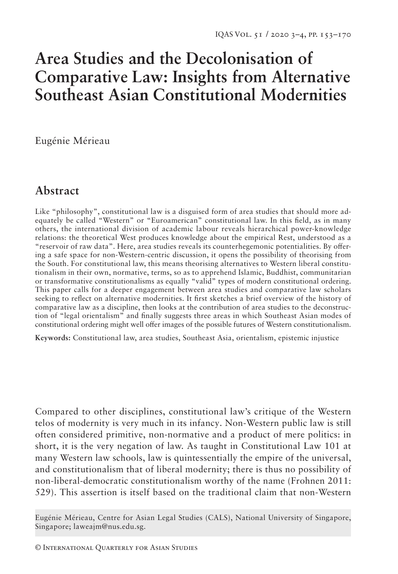# **Area Studies and the Decolonisation of Comparative Law: Insights from Alternative Southeast Asian Constitutional Modernities**

Eugénie Mérieau

## **Abstract**

Like "philosophy", constitutional law is a disguised form of area studies that should more adequately be called "Western" or "Euroamerican" constitutional law. In this field, as in many others, the international division of academic labour reveals hierarchical power-knowledge relations: the theoretical West produces knowledge about the empirical Rest, understood as a "reservoir of raw data". Here, area studies reveals its counterhegemonic potentialities. By offering a safe space for non-Western-centric discussion, it opens the possibility of theorising from the South. For constitutional law, this means theorising alternatives to Western liberal constitutionalism in their own, normative, terms, so as to apprehend Islamic, Buddhist, communitarian or transformative constitutionalisms as equally "valid" types of modern constitutional ordering. This paper calls for a deeper engagement between area studies and comparative law scholars seeking to reflect on alternative modernities. It first sketches a brief overview of the history of comparative law as a discipline, then looks at the contribution of area studies to the deconstruction of "legal orientalism" and finally suggests three areas in which Southeast Asian modes of constitutional ordering might well offer images of the possible futures of Western constitutionalism.

**Keywords:** Constitutional law, area studies, Southeast Asia, orientalism, epistemic injustice

Compared to other disciplines, constitutional law's critique of the Western telos of modernity is very much in its infancy. Non-Western public law is still often considered primitive, non-normative and a product of mere politics: in short, it is the very negation of law. As taught in Constitutional Law 101 at many Western law schools, law is quintessentially the empire of the universal, and constitutionalism that of liberal modernity; there is thus no possibility of non-liberal-democratic constitutionalism worthy of the name (Frohnen 2011: 529). This assertion is itself based on the traditional claim that non-Western

Eugénie Mérieau, Centre for Asian Legal Studies (CALS), National University of Singapore, Singapore; laweajm@nus.edu.sg.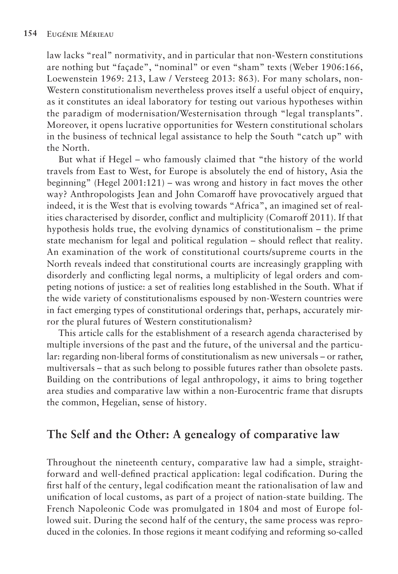law lacks "real" normativity, and in particular that non-Western constitutions are nothing but "façade", "nominal" or even "sham" texts (Weber 1906:166, Loewenstein 1969: 213, Law / Versteeg 2013: 863). For many scholars, non-Western constitutionalism nevertheless proves itself a useful object of enquiry, as it constitutes an ideal laboratory for testing out various hypotheses within the paradigm of modernisation/Westernisation through "legal transplants". Moreover, it opens lucrative opportunities for Western constitutional scholars in the business of technical legal assistance to help the South "catch up" with the North.

But what if Hegel – who famously claimed that "the history of the world travels from East to West, for Europe is absolutely the end of history, Asia the beginning" (Hegel 2001:121) – was wrong and history in fact moves the other way? Anthropologists Jean and John Comaroff have provocatively argued that indeed, it is the West that is evolving towards "Africa", an imagined set of realities characterised by disorder, conflict and multiplicity (Comaroff 2011). If that hypothesis holds true, the evolving dynamics of constitutionalism – the prime state mechanism for legal and political regulation – should reflect that reality. An examination of the work of constitutional courts/supreme courts in the North reveals indeed that constitutional courts are increasingly grappling with disorderly and conflicting legal norms, a multiplicity of legal orders and competing notions of justice: a set of realities long established in the South. What if the wide variety of constitutionalisms espoused by non-Western countries were in fact emerging types of constitutional orderings that, perhaps, accurately mirror the plural futures of Western constitutionalism?

This article calls for the establishment of a research agenda characterised by multiple inversions of the past and the future, of the universal and the particular: regarding non-liberal forms of constitutionalism as new universals – or rather, multiversals – that as such belong to possible futures rather than obsolete pasts. Building on the contributions of legal anthropology, it aims to bring together area studies and comparative law within a non-Eurocentric frame that disrupts the common, Hegelian, sense of history.

### **The Self and the Other: A genealogy of comparative law**

Throughout the nineteenth century, comparative law had a simple, straightforward and well-defined practical application: legal codification. During the first half of the century, legal codification meant the rationalisation of law and unification of local customs, as part of a project of nation-state building. The French Napoleonic Code was promulgated in 1804 and most of Europe followed suit. During the second half of the century, the same process was reproduced in the colonies. In those regions it meant codifying and reforming so-called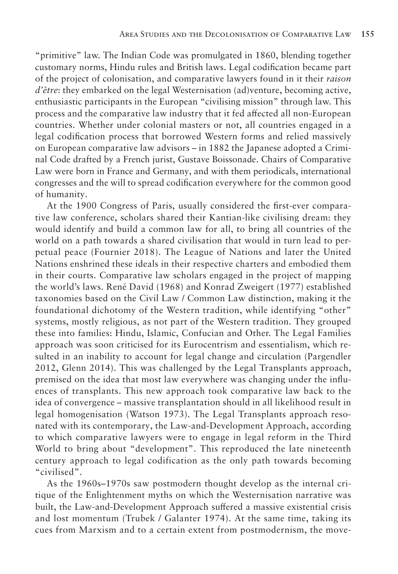"primitive" law. The Indian Code was promulgated in 1860, blending together customary norms, Hindu rules and British laws. Legal codification became part of the project of colonisation, and comparative lawyers found in it their *raison d'être*: they embarked on the legal Westernisation (ad)venture, becoming active, enthusiastic participants in the European "civilising mission" through law. This process and the comparative law industry that it fed affected all non-European countries. Whether under colonial masters or not, all countries engaged in a legal codification process that borrowed Western forms and relied massively on European comparative law advisors – in 1882 the Japanese adopted a Criminal Code drafted by a French jurist, Gustave Boissonade. Chairs of Comparative Law were born in France and Germany, and with them periodicals, international congresses and the will to spread codification everywhere for the common good of humanity.

At the 1900 Congress of Paris, usually considered the first-ever comparative law conference, scholars shared their Kantian-like civilising dream: they would identify and build a common law for all, to bring all countries of the world on a path towards a shared civilisation that would in turn lead to perpetual peace (Fournier 2018). The League of Nations and later the United Nations enshrined these ideals in their respective charters and embodied them in their courts. Comparative law scholars engaged in the project of mapping the world's laws. René David (1968) and Konrad Zweigert (1977) established taxonomies based on the Civil Law / Common Law distinction, making it the foundational dichotomy of the Western tradition, while identifying "other" systems, mostly religious, as not part of the Western tradition. They grouped these into families: Hindu, Islamic, Confucian and Other. The Legal Families approach was soon criticised for its Eurocentrism and essentialism, which resulted in an inability to account for legal change and circulation (Pargendler 2012, Glenn 2014). This was challenged by the Legal Transplants approach, premised on the idea that most law everywhere was changing under the influences of transplants. This new approach took comparative law back to the idea of convergence – massive transplantation should in all likelihood result in legal homogenisation (Watson 1973). The Legal Transplants approach resonated with its contemporary, the Law-and-Development Approach, according to which comparative lawyers were to engage in legal reform in the Third World to bring about "development". This reproduced the late nineteenth century approach to legal codification as the only path towards becoming "civilised".

As the 1960s–1970s saw postmodern thought develop as the internal critique of the Enlightenment myths on which the Westernisation narrative was built, the Law-and-Development Approach suffered a massive existential crisis and lost momentum (Trubek / Galanter 1974). At the same time, taking its cues from Marxism and to a certain extent from postmodernism, the move-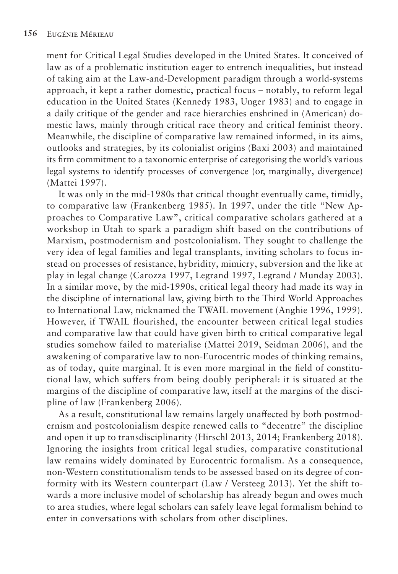ment for Critical Legal Studies developed in the United States. It conceived of law as of a problematic institution eager to entrench inequalities, but instead of taking aim at the Law-and-Development paradigm through a world-systems approach, it kept a rather domestic, practical focus – notably, to reform legal education in the United States (Kennedy 1983, Unger 1983) and to engage in a daily critique of the gender and race hierarchies enshrined in (American) domestic laws, mainly through critical race theory and critical feminist theory. Meanwhile, the discipline of comparative law remained informed, in its aims, outlooks and strategies, by its colonialist origins (Baxi 2003) and maintained its firm commitment to a taxonomic enterprise of categorising the world's various legal systems to identify processes of convergence (or, marginally, divergence) (Mattei 1997).

It was only in the mid-1980s that critical thought eventually came, timidly, to comparative law (Frankenberg 1985). In 1997, under the title "New Approaches to Comparative Law", critical comparative scholars gathered at a workshop in Utah to spark a paradigm shift based on the contributions of Marxism, postmodernism and postcolonialism. They sought to challenge the very idea of legal families and legal transplants, inviting scholars to focus instead on processes of resistance, hybridity, mimicry, subversion and the like at play in legal change (Carozza 1997, Legrand 1997, Legrand / Munday 2003). In a similar move, by the mid-1990s, critical legal theory had made its way in the discipline of international law, giving birth to the Third World Approaches to International Law, nicknamed the TWAIL movement (Anghie 1996, 1999). However, if TWAIL flourished, the encounter between critical legal studies and comparative law that could have given birth to critical comparative legal studies somehow failed to materialise (Mattei 2019, Seidman 2006), and the awakening of comparative law to non-Eurocentric modes of thinking remains, as of today, quite marginal. It is even more marginal in the field of constitutional law, which suffers from being doubly peripheral: it is situated at the margins of the discipline of comparative law, itself at the margins of the discipline of law (Frankenberg 2006).

As a result, constitutional law remains largely unaffected by both postmodernism and postcolonialism despite renewed calls to "decentre" the discipline and open it up to transdisciplinarity (Hirschl 2013, 2014; Frankenberg 2018). Ignoring the insights from critical legal studies, comparative constitutional law remains widely dominated by Eurocentric formalism. As a consequence, non-Western constitutionalism tends to be assessed based on its degree of conformity with its Western counterpart (Law / Versteeg 2013). Yet the shift towards a more inclusive model of scholarship has already begun and owes much to area studies, where legal scholars can safely leave legal formalism behind to enter in conversations with scholars from other disciplines.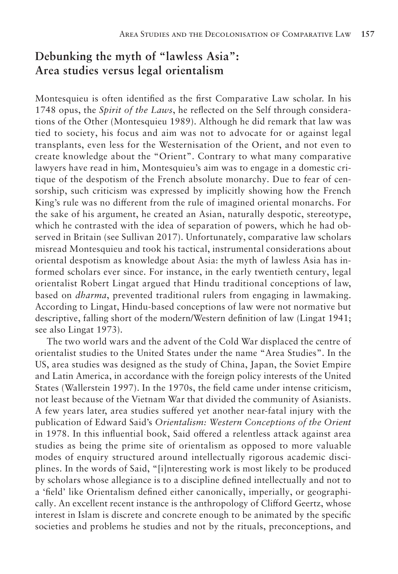## **Debunking the myth of "lawless Asia": Area studies versus legal orientalism**

Montesquieu is often identified as the first Comparative Law scholar. In his 1748 opus, the *Spirit of the Laws*, he reflected on the Self through considerations of the Other (Montesquieu 1989). Although he did remark that law was tied to society, his focus and aim was not to advocate for or against legal transplants, even less for the Westernisation of the Orient, and not even to create knowledge about the "Orient". Contrary to what many comparative lawyers have read in him, Montesquieu's aim was to engage in a domestic critique of the despotism of the French absolute monarchy. Due to fear of censorship, such criticism was expressed by implicitly showing how the French King's rule was no different from the rule of imagined oriental monarchs. For the sake of his argument, he created an Asian, naturally despotic, stereotype, which he contrasted with the idea of separation of powers, which he had observed in Britain (see Sullivan 2017). Unfortunately, comparative law scholars misread Montesquieu and took his tactical, instrumental considerations about oriental despotism as knowledge about Asia: the myth of lawless Asia has informed scholars ever since. For instance, in the early twentieth century, legal orientalist Robert Lingat argued that Hindu traditional conceptions of law, based on *dharma*, prevented traditional rulers from engaging in lawmaking. According to Lingat, Hindu-based conceptions of law were not normative but descriptive, falling short of the modern/Western definition of law (Lingat 1941; see also Lingat 1973).

The two world wars and the advent of the Cold War displaced the centre of orientalist studies to the United States under the name "Area Studies". In the US, area studies was designed as the study of China, Japan, the Soviet Empire and Latin America, in accordance with the foreign policy interests of the United States (Wallerstein 1997). In the 1970s, the field came under intense criticism, not least because of the Vietnam War that divided the community of Asianists. A few years later, area studies suffered yet another near-fatal injury with the publication of Edward Said's *Orientalism: Western Conceptions of the Orient* in 1978. In this influential book, Said offered a relentless attack against area studies as being the prime site of orientalism as opposed to more valuable modes of enquiry structured around intellectually rigorous academic disciplines. In the words of Said, "[i]nteresting work is most likely to be produced by scholars whose allegiance is to a discipline defined intellectually and not to a 'field' like Orientalism defined either canonically, imperially, or geographically. An excellent recent instance is the anthropology of Clifford Geertz, whose interest in Islam is discrete and concrete enough to be animated by the specific societies and problems he studies and not by the rituals, preconceptions, and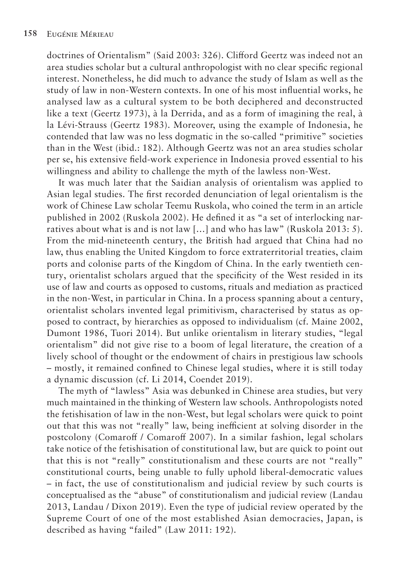doctrines of Orientalism" (Said 2003: 326). Clifford Geertz was indeed not an area studies scholar but a cultural anthropologist with no clear specific regional interest. Nonetheless, he did much to advance the study of Islam as well as the study of law in non-Western contexts. In one of his most influential works, he analysed law as a cultural system to be both deciphered and deconstructed like a text (Geertz 1973), à la Derrida, and as a form of imagining the real, à la Lévi-Strauss (Geertz 1983). Moreover, using the example of Indonesia, he contended that law was no less dogmatic in the so-called "primitive" societies than in the West (ibid.: 182). Although Geertz was not an area studies scholar per se, his extensive field-work experience in Indonesia proved essential to his willingness and ability to challenge the myth of the lawless non-West.

It was much later that the Saidian analysis of orientalism was applied to Asian legal studies. The first recorded denunciation of legal orientalism is the work of Chinese Law scholar Teemu Ruskola, who coined the term in an article published in 2002 (Ruskola 2002). He defined it as "a set of interlocking narratives about what is and is not law […] and who has law" (Ruskola 2013: 5). From the mid-nineteenth century, the British had argued that China had no law, thus enabling the United Kingdom to force extraterritorial treaties, claim ports and colonise parts of the Kingdom of China. In the early twentieth century, orientalist scholars argued that the specificity of the West resided in its use of law and courts as opposed to customs, rituals and mediation as practiced in the non-West, in particular in China. In a process spanning about a century, orientalist scholars invented legal primitivism, characterised by status as opposed to contract, by hierarchies as opposed to individualism (cf. Maine 2002, Dumont 1986, Tuori 2014). But unlike orientalism in literary studies, "legal orientalism" did not give rise to a boom of legal literature, the creation of a lively school of thought or the endowment of chairs in prestigious law schools – mostly, it remained confined to Chinese legal studies, where it is still today a dynamic discussion (cf. Li 2014, Coendet 2019).

The myth of "lawless" Asia was debunked in Chinese area studies, but very much maintained in the thinking of Western law schools. Anthropologists noted the fetishisation of law in the non-West, but legal scholars were quick to point out that this was not "really" law, being inefficient at solving disorder in the postcolony (Comaroff / Comaroff 2007). In a similar fashion, legal scholars take notice of the fetishisation of constitutional law, but are quick to point out that this is not "really" constitutionalism and these courts are not "really" constitutional courts, being unable to fully uphold liberal-democratic values – in fact, the use of constitutionalism and judicial review by such courts is conceptualised as the "abuse" of constitutionalism and judicial review (Landau 2013, Landau / Dixon 2019). Even the type of judicial review operated by the Supreme Court of one of the most established Asian democracies, Japan, is described as having "failed" (Law 2011: 192).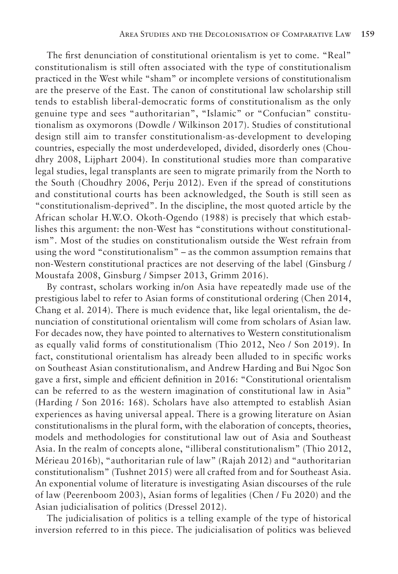The first denunciation of constitutional orientalism is yet to come. "Real" constitutionalism is still often associated with the type of constitutionalism practiced in the West while "sham" or incomplete versions of constitutionalism are the preserve of the East. The canon of constitutional law scholarship still tends to establish liberal-democratic forms of constitutionalism as the only genuine type and sees "authoritarian", "Islamic" or "Confucian" constitutionalism as oxymorons (Dowdle / Wilkinson 2017). Studies of constitutional design still aim to transfer constitutionalism-as-development to developing countries, especially the most underdeveloped, divided, disorderly ones (Choudhry 2008, Lijphart 2004). In constitutional studies more than comparative legal studies, legal transplants are seen to migrate primarily from the North to the South (Choudhry 2006, Perju 2012). Even if the spread of constitutions and constitutional courts has been acknowledged, the South is still seen as "constitutionalism-deprived". In the discipline, the most quoted article by the African scholar H.W.O. Okoth-Ogendo (1988) is precisely that which establishes this argument: the non-West has "constitutions without constitutionalism". Most of the studies on constitutionalism outside the West refrain from using the word "constitutionalism" – as the common assumption remains that non-Western constitutional practices are not deserving of the label (Ginsburg / Moustafa 2008, Ginsburg / Simpser 2013, Grimm 2016).

By contrast, scholars working in/on Asia have repeatedly made use of the prestigious label to refer to Asian forms of constitutional ordering (Chen 2014, Chang et al. 2014). There is much evidence that, like legal orientalism, the denunciation of constitutional orientalism will come from scholars of Asian law. For decades now, they have pointed to alternatives to Western constitutionalism as equally valid forms of constitutionalism (Thio 2012, Neo / Son 2019). In fact, constitutional orientalism has already been alluded to in specific works on Southeast Asian constitutionalism, and Andrew Harding and Bui Ngoc Son gave a first, simple and efficient definition in 2016: "Constitutional orientalism can be referred to as the western imagination of constitutional law in Asia" (Harding / Son 2016: 168). Scholars have also attempted to establish Asian experiences as having universal appeal. There is a growing literature on Asian constitutionalisms in the plural form, with the elaboration of concepts, theories, models and methodologies for constitutional law out of Asia and Southeast Asia. In the realm of concepts alone, "illiberal constitutionalism" (Thio 2012, Mérieau 2016b), "authoritarian rule of law" (Rajah 2012) and "authoritarian constitutionalism" (Tushnet 2015) were all crafted from and for Southeast Asia. An exponential volume of literature is investigating Asian discourses of the rule of law (Peerenboom 2003), Asian forms of legalities (Chen / Fu 2020) and the Asian judicialisation of politics (Dressel 2012).

The judicialisation of politics is a telling example of the type of historical inversion referred to in this piece. The judicialisation of politics was believed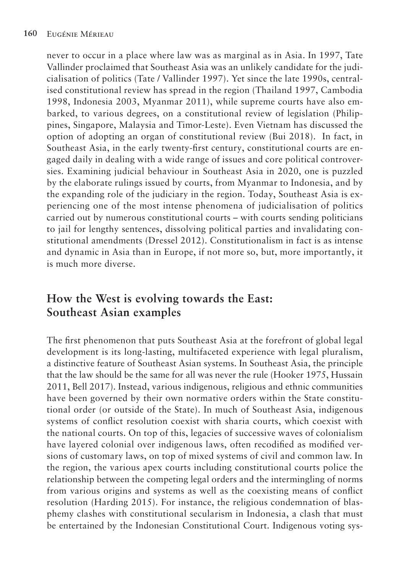never to occur in a place where law was as marginal as in Asia. In 1997, Tate Vallinder proclaimed that Southeast Asia was an unlikely candidate for the judicialisation of politics (Tate / Vallinder 1997). Yet since the late 1990s, centralised constitutional review has spread in the region (Thailand 1997, Cambodia 1998, Indonesia 2003, Myanmar 2011), while supreme courts have also embarked, to various degrees, on a constitutional review of legislation (Philippines, Singapore, Malaysia and Timor-Leste). Even Vietnam has discussed the option of adopting an organ of constitutional review (Bui 2018). In fact, in Southeast Asia, in the early twenty-first century, constitutional courts are engaged daily in dealing with a wide range of issues and core political controversies. Examining judicial behaviour in Southeast Asia in 2020, one is puzzled by the elaborate rulings issued by courts, from Myanmar to Indonesia, and by the expanding role of the judiciary in the region. Today, Southeast Asia is experiencing one of the most intense phenomena of judicialisation of politics carried out by numerous constitutional courts – with courts sending politicians to jail for lengthy sentences, dissolving political parties and invalidating constitutional amendments (Dressel 2012). Constitutionalism in fact is as intense and dynamic in Asia than in Europe, if not more so, but, more importantly, it is much more diverse.

# **How the West is evolving towards the East: Southeast Asian examples**

The first phenomenon that puts Southeast Asia at the forefront of global legal development is its long-lasting, multifaceted experience with legal pluralism, a distinctive feature of Southeast Asian systems. In Southeast Asia, the principle that the law should be the same for all was never the rule (Hooker 1975, Hussain 2011, Bell 2017). Instead, various indigenous, religious and ethnic communities have been governed by their own normative orders within the State constitutional order (or outside of the State). In much of Southeast Asia, indigenous systems of conflict resolution coexist with sharia courts, which coexist with the national courts. On top of this, legacies of successive waves of colonialism have layered colonial over indigenous laws, often recodified as modified versions of customary laws, on top of mixed systems of civil and common law. In the region, the various apex courts including constitutional courts police the relationship between the competing legal orders and the intermingling of norms from various origins and systems as well as the coexisting means of conflict resolution (Harding 2015). For instance, the religious condemnation of blasphemy clashes with constitutional secularism in Indonesia, a clash that must be entertained by the Indonesian Constitutional Court. Indigenous voting sys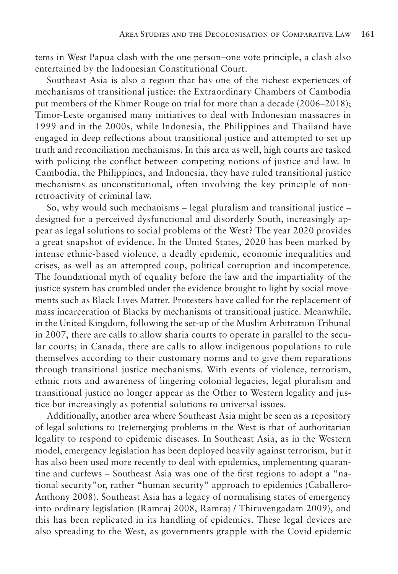tems in West Papua clash with the one person–one vote principle, a clash also entertained by the Indonesian Constitutional Court.

Southeast Asia is also a region that has one of the richest experiences of mechanisms of transitional justice: the Extraordinary Chambers of Cambodia put members of the Khmer Rouge on trial for more than a decade (2006–2018); Timor-Leste organised many initiatives to deal with Indonesian massacres in 1999 and in the 2000s, while Indonesia, the Philippines and Thailand have engaged in deep reflections about transitional justice and attempted to set up truth and reconciliation mechanisms. In this area as well, high courts are tasked with policing the conflict between competing notions of justice and law. In Cambodia, the Philippines, and Indonesia, they have ruled transitional justice mechanisms as unconstitutional, often involving the key principle of nonretroactivity of criminal law.

So, why would such mechanisms – legal pluralism and transitional justice – designed for a perceived dysfunctional and disorderly South, increasingly appear as legal solutions to social problems of the West? The year 2020 provides a great snapshot of evidence. In the United States, 2020 has been marked by intense ethnic-based violence, a deadly epidemic, economic inequalities and crises, as well as an attempted coup, political corruption and incompetence. The foundational myth of equality before the law and the impartiality of the justice system has crumbled under the evidence brought to light by social movements such as Black Lives Matter. Protesters have called for the replacement of mass incarceration of Blacks by mechanisms of transitional justice. Meanwhile, in the United Kingdom, following the set-up of the Muslim Arbitration Tribunal in 2007, there are calls to allow sharia courts to operate in parallel to the secular courts; in Canada, there are calls to allow indigenous populations to rule themselves according to their customary norms and to give them reparations through transitional justice mechanisms. With events of violence, terrorism, ethnic riots and awareness of lingering colonial legacies, legal pluralism and transitional justice no longer appear as the Other to Western legality and justice but increasingly as potential solutions to universal issues.

Additionally, another area where Southeast Asia might be seen as a repository of legal solutions to (re)emerging problems in the West is that of authoritarian legality to respond to epidemic diseases. In Southeast Asia, as in the Western model, emergency legislation has been deployed heavily against terrorism, but it has also been used more recently to deal with epidemics, implementing quarantine and curfews – Southeast Asia was one of the first regions to adopt a "national security"or, rather "human security" approach to epidemics (Caballero-Anthony 2008). Southeast Asia has a legacy of normalising states of emergency into ordinary legislation (Ramraj 2008, Ramraj / Thiruvengadam 2009), and this has been replicated in its handling of epidemics. These legal devices are also spreading to the West, as governments grapple with the Covid epidemic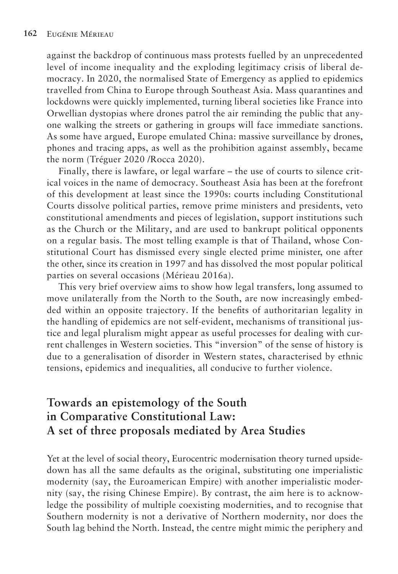against the backdrop of continuous mass protests fuelled by an unprecedented level of income inequality and the exploding legitimacy crisis of liberal democracy. In 2020, the normalised State of Emergency as applied to epidemics travelled from China to Europe through Southeast Asia. Mass quarantines and lockdowns were quickly implemented, turning liberal societies like France into Orwellian dystopias where drones patrol the air reminding the public that anyone walking the streets or gathering in groups will face immediate sanctions. As some have argued, Europe emulated China: massive surveillance by drones, phones and tracing apps, as well as the prohibition against assembly, became the norm (Tréguer 2020 /Rocca 2020).

Finally, there is lawfare, or legal warfare – the use of courts to silence critical voices in the name of democracy. Southeast Asia has been at the forefront of this development at least since the 1990s: courts including Constitutional Courts dissolve political parties, remove prime ministers and presidents, veto constitutional amendments and pieces of legislation, support institutions such as the Church or the Military, and are used to bankrupt political opponents on a regular basis. The most telling example is that of Thailand, whose Constitutional Court has dismissed every single elected prime minister, one after the other, since its creation in 1997 and has dissolved the most popular political parties on several occasions (Mérieau 2016a).

This very brief overview aims to show how legal transfers, long assumed to move unilaterally from the North to the South, are now increasingly embedded within an opposite trajectory. If the benefits of authoritarian legality in the handling of epidemics are not self-evident, mechanisms of transitional justice and legal pluralism might appear as useful processes for dealing with current challenges in Western societies. This "inversion" of the sense of history is due to a generalisation of disorder in Western states, characterised by ethnic tensions, epidemics and inequalities, all conducive to further violence.

# **Towards an epistemology of the South in Comparative Constitutional Law: A set of three proposals mediated by Area Studies**

Yet at the level of social theory, Eurocentric modernisation theory turned upsidedown has all the same defaults as the original, substituting one imperialistic modernity (say, the Euroamerican Empire) with another imperialistic modernity (say, the rising Chinese Empire). By contrast, the aim here is to acknowledge the possibility of multiple coexisting modernities, and to recognise that Southern modernity is not a derivative of Northern modernity, nor does the South lag behind the North. Instead, the centre might mimic the periphery and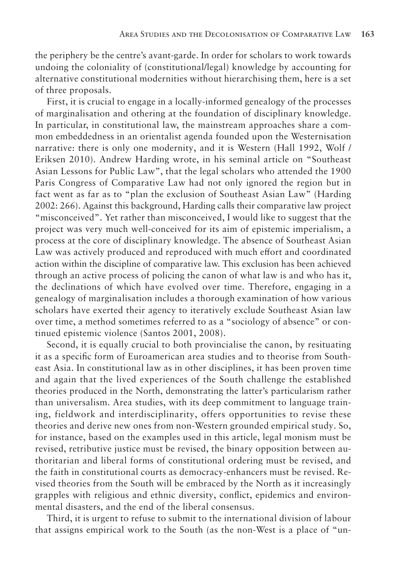the periphery be the centre's avant-garde. In order for scholars to work towards undoing the coloniality of (constitutional/legal) knowledge by accounting for alternative constitutional modernities without hierarchising them, here is a set of three proposals.

First, it is crucial to engage in a locally-informed genealogy of the processes of marginalisation and othering at the foundation of disciplinary knowledge. In particular, in constitutional law, the mainstream approaches share a common embeddedness in an orientalist agenda founded upon the Westernisation narrative: there is only one modernity, and it is Western (Hall 1992, Wolf / Eriksen 2010). Andrew Harding wrote, in his seminal article on "Southeast Asian Lessons for Public Law", that the legal scholars who attended the 1900 Paris Congress of Comparative Law had not only ignored the region but in fact went as far as to "plan the exclusion of Southeast Asian Law" (Harding 2002: 266). Against this background, Harding calls their comparative law project "misconceived". Yet rather than misconceived, I would like to suggest that the project was very much well-conceived for its aim of epistemic imperialism, a process at the core of disciplinary knowledge. The absence of Southeast Asian Law was actively produced and reproduced with much effort and coordinated action within the discipline of comparative law. This exclusion has been achieved through an active process of policing the canon of what law is and who has it, the declinations of which have evolved over time. Therefore, engaging in a genealogy of marginalisation includes a thorough examination of how various scholars have exerted their agency to iteratively exclude Southeast Asian law over time, a method sometimes referred to as a "sociology of absence" or continued epistemic violence (Santos 2001, 2008).

Second, it is equally crucial to both provincialise the canon, by resituating it as a specific form of Euroamerican area studies and to theorise from Southeast Asia. In constitutional law as in other disciplines, it has been proven time and again that the lived experiences of the South challenge the established theories produced in the North, demonstrating the latter's particularism rather than universalism. Area studies, with its deep commitment to language training, fieldwork and interdisciplinarity, offers opportunities to revise these theories and derive new ones from non-Western grounded empirical study. So, for instance, based on the examples used in this article, legal monism must be revised, retributive justice must be revised, the binary opposition between authoritarian and liberal forms of constitutional ordering must be revised, and the faith in constitutional courts as democracy-enhancers must be revised. Revised theories from the South will be embraced by the North as it increasingly grapples with religious and ethnic diversity, conflict, epidemics and environmental disasters, and the end of the liberal consensus.

Third, it is urgent to refuse to submit to the international division of labour that assigns empirical work to the South (as the non-West is a place of "un-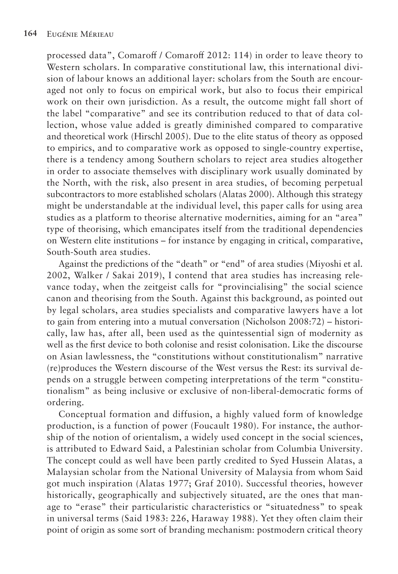processed data", Comaroff / Comaroff 2012: 114) in order to leave theory to Western scholars. In comparative constitutional law, this international division of labour knows an additional layer: scholars from the South are encouraged not only to focus on empirical work, but also to focus their empirical work on their own jurisdiction. As a result, the outcome might fall short of the label "comparative" and see its contribution reduced to that of data collection, whose value added is greatly diminished compared to comparative and theoretical work (Hirschl 2005). Due to the elite status of theory as opposed to empirics, and to comparative work as opposed to single-country expertise, there is a tendency among Southern scholars to reject area studies altogether in order to associate themselves with disciplinary work usually dominated by the North, with the risk, also present in area studies, of becoming perpetual subcontractors to more established scholars (Alatas 2000). Although this strategy might be understandable at the individual level, this paper calls for using area studies as a platform to theorise alternative modernities, aiming for an "area" type of theorising, which emancipates itself from the traditional dependencies on Western elite institutions – for instance by engaging in critical, comparative, South-South area studies.

Against the predictions of the "death" or "end" of area studies (Miyoshi et al. 2002, Walker / Sakai 2019), I contend that area studies has increasing relevance today, when the zeitgeist calls for "provincialising" the social science canon and theorising from the South. Against this background, as pointed out by legal scholars, area studies specialists and comparative lawyers have a lot to gain from entering into a mutual conversation (Nicholson 2008:72) – historically, law has, after all, been used as the quintessential sign of modernity as well as the first device to both colonise and resist colonisation. Like the discourse on Asian lawlessness, the "constitutions without constitutionalism" narrative (re)produces the Western discourse of the West versus the Rest: its survival depends on a struggle between competing interpretations of the term "constitutionalism" as being inclusive or exclusive of non-liberal-democratic forms of ordering.

Conceptual formation and diffusion, a highly valued form of knowledge production, is a function of power (Foucault 1980). For instance, the authorship of the notion of orientalism, a widely used concept in the social sciences, is attributed to Edward Said, a Palestinian scholar from Columbia University. The concept could as well have been partly credited to Syed Hussein Alatas, a Malaysian scholar from the National University of Malaysia from whom Said got much inspiration (Alatas 1977; Graf 2010). Successful theories, however historically, geographically and subjectively situated, are the ones that manage to "erase" their particularistic characteristics or "situatedness" to speak in universal terms (Said 1983: 226, Haraway 1988). Yet they often claim their point of origin as some sort of branding mechanism: postmodern critical theory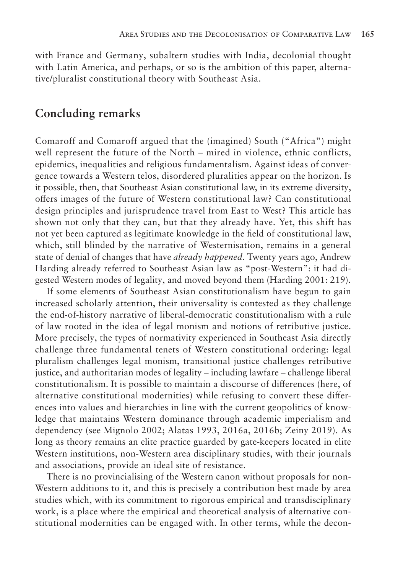with France and Germany, subaltern studies with India, decolonial thought with Latin America, and perhaps, or so is the ambition of this paper, alternative/pluralist constitutional theory with Southeast Asia.

#### **Concluding remarks**

Comaroff and Comaroff argued that the (imagined) South ("Africa") might well represent the future of the North – mired in violence, ethnic conflicts, epidemics, inequalities and religious fundamentalism. Against ideas of convergence towards a Western telos, disordered pluralities appear on the horizon. Is it possible, then, that Southeast Asian constitutional law, in its extreme diversity, offers images of the future of Western constitutional law? Can constitutional design principles and jurisprudence travel from East to West? This article has shown not only that they can, but that they already have. Yet, this shift has not yet been captured as legitimate knowledge in the field of constitutional law, which, still blinded by the narrative of Westernisation, remains in a general state of denial of changes that have *already happened*. Twenty years ago, Andrew Harding already referred to Southeast Asian law as "post-Western": it had digested Western modes of legality, and moved beyond them (Harding 2001: 219).

If some elements of Southeast Asian constitutionalism have begun to gain increased scholarly attention, their universality is contested as they challenge the end-of-history narrative of liberal-democratic constitutionalism with a rule of law rooted in the idea of legal monism and notions of retributive justice. More precisely, the types of normativity experienced in Southeast Asia directly challenge three fundamental tenets of Western constitutional ordering: legal pluralism challenges legal monism, transitional justice challenges retributive justice, and authoritarian modes of legality – including lawfare – challenge liberal constitutionalism. It is possible to maintain a discourse of differences (here, of alternative constitutional modernities) while refusing to convert these differences into values and hierarchies in line with the current geopolitics of knowledge that maintains Western dominance through academic imperialism and dependency (see Mignolo 2002; Alatas 1993, 2016a, 2016b; Zeiny 2019). As long as theory remains an elite practice guarded by gate-keepers located in elite Western institutions, non-Western area disciplinary studies, with their journals and associations, provide an ideal site of resistance.

There is no provincialising of the Western canon without proposals for non-Western additions to it, and this is precisely a contribution best made by area studies which, with its commitment to rigorous empirical and transdisciplinary work, is a place where the empirical and theoretical analysis of alternative constitutional modernities can be engaged with. In other terms, while the decon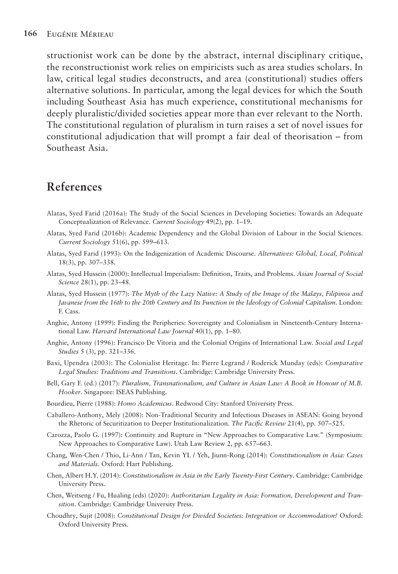structionist work can be done by the abstract, internal disciplinary critique, the reconstructionist work relies on empiricists such as area studies scholars. In law, critical legal studies deconstructs, and area (constitutional) studies offers alternative solutions. In particular, among the legal devices for which the South including Southeast Asia has much experience, constitutional mechanisms for deeply pluralistic/divided societies appear more than ever relevant to the North. The constitutional regulation of pluralism in turn raises a set of novel issues for constitutional adjudication that will prompt a fair deal of theorisation – from Southeast Asia.

### **References**

- Alatas, Syed Farid (2016a): The Study of the Social Sciences in Developing Societies: Towards an Adequate Conceptualization of Relevance. *Current Sociology* 49(2), pp. 1–19.
- Alatas, Syed Farid (2016b): Academic Dependency and the Global Division of Labour in the Social Sciences. *Current Sociology* 51(6), pp. 599–613.
- Alatas, Syed Farid (1993): On the Indigenization of Academic Discourse. *Alternatives: Global, Local, Political*  18(3), pp. 307–338.
- Alatas, Syed Hussein (2000): Intellectual Imperialism: Definition, Traits, and Problems. *Asian Journal of Social Science* 28(1), pp. 23–48.
- Alatas, Syed Hussein (1977): *The Myth of the Lazy Native: A Study of the Image of the Malays, Filipinos and Javanese from the 16th to the 20th Century and Its Function in the Ideology of Colonial Capitalism*. London: F. Cass.
- Anghie, Antony (1999): Finding the Peripheries: Sovereignty and Colonialism in Nineteenth-Century International Law. *Harvard International Law Journal* 40(1), pp. 1–80.
- Anghie, Antony (1996): Francisco De Vitoria and the Colonial Origins of International Law. *Social and Legal Studies* 5 (3), pp. 321–336.
- Baxi, Upendra (2003): The Colonialist Heritage. In: Pierre Legrand / Roderick Munday (eds): *Comparative Legal Studies: Traditions and Transitions*. Cambridge: Cambridge University Press.
- Bell, Gary F. (ed.) (2017): *Pluralism, Transnationalism, and Culture in Asian Law: A Book in Honour of M.B. Hooker*. Singapore: ISEAS Publishing.
- Bourdieu, Pierre (1988): *Homo Academicus*. Redwood City: Stanford University Press.
- Caballero-Anthony, Mely (2008): Non-Traditional Security and Infectious Diseases in ASEAN: Going beyond the Rhetoric of Securitization to Deeper Institutionalization. *The Pacific Review* 21(4), pp. 507–525.
- Carozza, Paolo G. (1997): Continuity and Rupture in "New Approaches to Comparative Law." (Symposium: New Approaches to Comparative Law). Utah Law Review 2, pp. 657–663.
- Chang, Wen-Chen / Thio, Li-Ann / Tan, Kevin YL / Yeh, Jiunn-Rong (2014): *Constitutionalism in Asia: Cases and Materials*. Oxford: Hart Publishing.
- Chen, Albert H.Y. (2014): *Constitutionalism in Asia in the Early Twenty-First Century*. Cambridge: Cambridge University Press.
- Chen, Weitseng / Fu, Hualing (eds) (2020): *Authoritarian Legality in Asia: Formation, Development and Transition*. Cambridge: Cambridge University Press.
- Choudhry, Sujit (2008): *Constitutional Design for Divided Societies: Integration or Accommodation?* Oxford: Oxford University Press.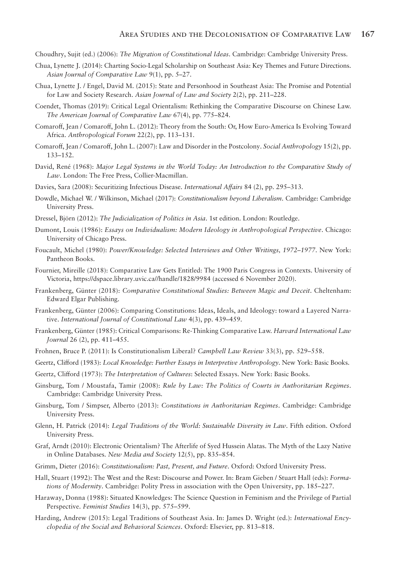Choudhry, Sujit (ed.) (2006): *The Migration of Constitutional Ideas*. Cambridge: Cambridge University Press.

- Chua, Lynette J. (2014): Charting Socio-Legal Scholarship on Southeast Asia: Key Themes and Future Directions. *Asian Journal of Comparative Law* 9(1), pp. 5–27.
- Chua, Lynette J. / Engel, David M. (2015): State and Personhood in Southeast Asia: The Promise and Potential for Law and Society Research. *Asian Journal of Law and Society* 2(2), pp. 211–228.
- Coendet, Thomas (2019): Critical Legal Orientalism: Rethinking the Comparative Discourse on Chinese Law. *The American Journal of Comparative Law* 67(4), pp. 775–824.
- Comaroff, Jean / Comaroff, John L. (2012): Theory from the South: Or, How Euro-America Is Evolving Toward Africa. *Anthropological Forum* 22(2), pp. 113–131.
- Comaroff, Jean / Comaroff, John L. (2007): Law and Disorder in the Postcolony. *Social Anthropology* 15(2), pp. 133–152.
- David, René (1968): *Major Legal Systems in the World Today: An Introduction to the Comparative Study of Law*. London: The Free Press, Collier-Macmillan.
- Davies, Sara (2008): Securitizing Infectious Disease. *International Affairs* 84 (2), pp. 295–313.
- Dowdle, Michael W. / Wilkinson, Michael (2017): *Constitutionalism beyond Liberalism*. Cambridge: Cambridge University Press.
- Dressel, Björn (2012): *The Judicialization of Politics in Asia*. 1st edition. London: Routledge.
- Dumont, Louis (1986): *Essays on Individualism: Modern Ideology in Anthropological Perspective*. Chicago: University of Chicago Press.
- Foucault, Michel (1980): *Power/Knowledge: Selected Interviews and Other Writings, 1972–1977*. New York: Pantheon Books.
- Fournier, Mireille (2018): Comparative Law Gets Entitled: The 1900 Paris Congress in Contexts. University of Victoria, https://dspace.library.uvic.ca//handle/1828/9984 (accessed 6 November 2020).
- Frankenberg, Günter (2018): *Comparative Constitutional Studies: Between Magic and Deceit*. Cheltenham: Edward Elgar Publishing.
- Frankenberg, Günter (2006): Comparing Constitutions: Ideas, Ideals, and Ideology: toward a Layered Narrative. *International Journal of Constitutional Law* 4(3), pp. 439–459.
- Frankenberg, Günter (1985): Critical Comparisons: Re-Thinking Comparative Law. *Harvard International Law Journal* 26 (2), pp. 411–455.
- Frohnen, Bruce P. (2011): Is Constitutionalism Liberal? *Campbell Law Review* 33(3), pp. 529–558.
- Geertz, Clifford (1983): *Local Knowledge: Further Essays in Interpretive Anthropology*. New York: Basic Books.
- Geertz, Clifford (1973): *The Interpretation of Cultures*: Selected Essays. New York: Basic Books.
- Ginsburg, Tom / Moustafa, Tamir (2008): *Rule by Law: The Politics of Courts in Authoritarian Regimes*. Cambridge: Cambridge University Press.
- Ginsburg, Tom / Simpser, Alberto (2013): *Constitutions in Authoritarian Regimes*. Cambridge: Cambridge University Press.
- Glenn, H. Patrick (2014): *Legal Traditions of the World: Sustainable Diversity in Law*. Fifth edition. Oxford University Press.
- Graf, Arndt (2010): Electronic Orientalism? The Afterlife of Syed Hussein Alatas. The Myth of the Lazy Native in Online Databases. *New Media and Society* 12(5), pp. 835–854.
- Grimm, Dieter (2016): *Constitutionalism: Past, Present, and Future*. Oxford: Oxford University Press.
- Hall, Stuart (1992): The West and the Rest: Discourse and Power. In: Bram Gieben / Stuart Hall (eds): *Formations of Modernity*. Cambridge: Polity Press in association with the Open University, pp. 185–227.
- Haraway, Donna (1988): Situated Knowledges: The Science Question in Feminism and the Privilege of Partial Perspective. *Feminist Studies* 14(3), pp. 575–599.
- Harding, Andrew (2015): Legal Traditions of Southeast Asia. In: James D. Wright (ed.): *International Encyclopedia of the Social and Behavioral Sciences*. Oxford: Elsevier, pp. 813–818.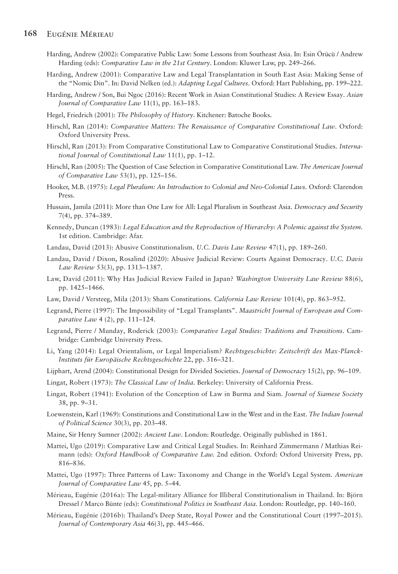#### **168** Eugénie Mérieau

- Harding, Andrew (2002): Comparative Public Law: Some Lessons from Southeast Asia. In: Esin Örücü / Andrew Harding (eds): *Comparative Law in the 21st Century*. London: Kluwer Law, pp. 249–266.
- Harding, Andrew (2001): Comparative Law and Legal Transplantation in South East Asia: Making Sense of the "Nomic Din". In: David Nelken (ed.): *Adapting Legal Cultures*. Oxford: Hart Publishing, pp. 199–222.
- Harding, Andrew / Son, Bui Ngoc (2016): Recent Work in Asian Constitutional Studies: A Review Essay. *Asian Journal of Comparative Law* 11(1), pp. 163–183.
- Hegel, Friedrich (2001): *The Philosophy of History*. Kitchener: Batoche Books.
- Hirschl, Ran (2014): *Comparative Matters: The Renaissance of Comparative Constitutional Law*. Oxford: Oxford University Press.
- Hirschl, Ran (2013): From Comparative Constitutional Law to Comparative Constitutional Studies. *International Journal of Constitutional Law* 11(1), pp. 1–12.
- Hirschl, Ran (2005): The Question of Case Selection in Comparative Constitutional Law. *The American Journal of Comparative Law* 53(1), pp. 125–156.
- Hooker, M.B. (1975): *Legal Pluralism: An Introduction to Colonial and Neo-Colonial Laws*. Oxford: Clarendon Press.
- Hussain, Jamila (2011): More than One Law for All: Legal Pluralism in Southeast Asia. *Democracy and Security*  7(4), pp. 374–389.
- Kennedy, Duncan (1983): *Legal Education and the Reproduction of Hierarchy: A Polemic against the System.*  1st edition. Cambridge: Afar.
- Landau, David (2013): Abusive Constitutionalism. *U.C. Davis Law Review* 47(1), pp. 189–260.
- Landau, David / Dixon, Rosalind (2020): Abusive Judicial Review: Courts Against Democracy. *U.C. Davis Law Review* 53(3), pp. 1313–1387.
- Law, David (2011): Why Has Judicial Review Failed in Japan? *Washington University Law Review* 88(6), pp. 1425–1466.
- Law, David / Versteeg, Mila (2013): Sham Constitutions. *California Law Review* 101(4), pp. 863–952.
- Legrand, Pierre (1997): The Impossibility of "Legal Transplants". *Maastricht Journal of European and Comparative Law* 4 (2), pp. 111–124.
- Legrand, Pierre / Munday, Roderick (2003): *Comparative Legal Studies: Traditions and Transitions*. Cambridge: Cambridge University Press.
- Li, Yang (2014): Legal Orientalism, or Legal Imperialism? *Rechtsgeschichte: Zeitschrift des Max-Planck-Instituts für Europäische Rechtsgeschichte* 22, pp. 316–321.
- Lijphart, Arend (2004): Constitutional Design for Divided Societies. *Journal of Democracy* 15(2), pp. 96–109.
- Lingat, Robert (1973): *The Classical Law of India*. Berkeley: University of California Press.
- Lingat, Robert (1941): Evolution of the Conception of Law in Burma and Siam. *Journal of Siamese Society* 38, pp. 9–31.
- Loewenstein, Karl (1969): Constitutions and Constitutional Law in the West and in the East. *The Indian Journal of Political Science* 30(3), pp. 203–48.
- Maine, Sir Henry Sumner (2002): *Ancient Law*. London: Routledge. Originally published in 1861.
- Mattei, Ugo (2019): Comparative Law and Critical Legal Studies. In: Reinhard Zimmermann / Mathias Reimann (eds): *Oxford Handbook of Comparative Law.* 2nd edition. Oxford: Oxford University Press, pp. 816–836.
- Mattei, Ugo (1997): Three Patterns of Law: Taxonomy and Change in the World's Legal System. *American Journal of Comparative Law* 45, pp. 5–44.
- Mérieau, Eugénie (2016a): The Legal-military Alliance for Illiberal Constitutionalism in Thailand. In: Björn Dressel / Marco Bünte (eds): *Constitutional Politics in Southeast Asia*. London: Routledge, pp. 140–160.
- Mérieau, Eugénie (2016b): Thailand's Deep State, Royal Power and the Constitutional Court (1997–2015). *Journal of Contemporary Asia* 46(3), pp. 445–466.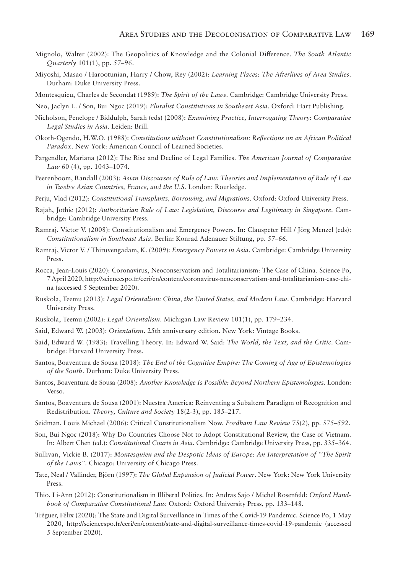- Mignolo, Walter (2002): The Geopolitics of Knowledge and the Colonial Difference. *The South Atlantic Quarterly* 101(1), pp. 57–96.
- Miyoshi, Masao / Harootunian, Harry / Chow, Rey (2002): *Learning Places: The Afterlives of Area Studies*. Durham: Duke University Press.
- Montesquieu, Charles de Secondat (1989): *The Spirit of the Laws*. Cambridge: Cambridge University Press.
- Neo, Jaclyn L. / Son, Bui Ngoc (2019): *Pluralist Constitutions in Southeast Asia*. Oxford: Hart Publishing.
- Nicholson, Penelope / Biddulph, Sarah (eds) (2008): *Examining Practice, Interrogating Theory: Comparative Legal Studies in Asia*. Leiden: Brill.
- Okoth-Ogendo, H.W.O. (1988): *Constitutions without Constitutionalism: Reflections on an African Political Paradox*. New York: American Council of Learned Societies.
- Pargendler, Mariana (2012): The Rise and Decline of Legal Families. *The American Journal of Comparative Law* 60 (4), pp. 1043–1074.
- Peerenboom, Randall (2003): *Asian Discourses of Rule of Law: Theories and Implementation of Rule of Law in Twelve Asian Countries, France, and the U.S*. London: Routledge.
- Perju, Vlad (2012): *Constitutional Transplants, Borrowing, and Migrations*. Oxford: Oxford University Press.
- Rajah, Jothie (2012): *Authoritarian Rule of Law: Legislation, Discourse and Legitimacy in Singapore*. Cambridge: Cambridge University Press.
- Ramraj, Victor V. (2008): Constitutionalism and Emergency Powers. In: Clauspeter Hill / Jörg Menzel (eds): *Constitutionalism in Southeast Asia*. Berlin: Konrad Adenauer Stiftung, pp. 57–66.
- Ramraj, Victor V. / Thiruvengadam, K. (2009): *Emergency Powers in Asia*. Cambridge: Cambridge University Press.
- Rocca, Jean-Louis (2020): Coronavirus, Neoconservatism and Totalitarianism: The Case of China. Science Po, 7 April 2020, http://sciencespo.fr/ceri/en/content/coronavirus-neoconservatism-and-totalitarianism-case-china (accessed 5 September 2020).
- Ruskola, Teemu (2013): *Legal Orientalism: China, the United States, and Modern Law*. Cambridge: Harvard University Press.
- Ruskola, Teemu (2002): *Legal Orientalism*. Michigan Law Review 101(1), pp. 179–234.
- Said, Edward W. (2003): *Orientalism*. 25th anniversary edition. New York: Vintage Books.
- Said, Edward W. (1983): Travelling Theory. In: Edward W. Said: *The World, the Text, and the Critic*. Cambridge: Harvard University Press.
- Santos, Boaventura de Sousa (2018): *The End of the Cognitive Empire: The Coming of Age of Epistemologies of the South*. Durham: Duke University Press.
- Santos, Boaventura de Sousa (2008): *Another Knowledge Is Possible: Beyond Northern Epistemologies*. London: Verso.
- Santos, Boaventura de Sousa (2001): Nuestra America: Reinventing a Subaltern Paradigm of Recognition and Redistribution. *Theory, Culture and Society* 18(2-3), pp. 185–217.
- Seidman, Louis Michael (2006): Critical Constitutionalism Now. *Fordham Law Review* 75(2), pp. 575–592.
- Son, Bui Ngoc (2018): Why Do Countries Choose Not to Adopt Constitutional Review, the Case of Vietnam. In: Albert Chen (ed.): *Constitutional Courts in Asia*. Cambridge: Cambridge University Press, pp. 335–364.
- Sullivan, Vickie B. (2017): *Montesquieu and the Despotic Ideas of Europe: An Interpretation of "The Spirit of the Laws"*. Chicago: University of Chicago Press.
- Tate, Neal / Vallinder, Björn (1997): *The Global Expansion of Judicial Power*. New York: New York University Press.
- Thio, Li-Ann (2012): Constitutionalism in Illiberal Polities. In: Andras Sajo / Michel Rosenfeld: *Oxford Handbook of Comparative Constitutional Law.* Oxford: Oxford University Press, pp. 133–148.
- Tréguer, Félix (2020): The State and Digital Surveillance in Times of the Covid-19 Pandemic. Science Po, 1 May 2020, http://sciencespo.fr/ceri/en/content/state-and-digital-surveillance-times-covid-19-pandemic (accessed 5 September 2020).